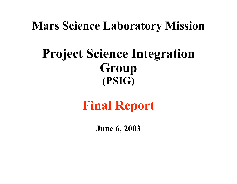# **Mars Science Laboratory Mission**

# **Project Science Integration Group (PSIG)**

# **Final Report**

**June 6, 2003**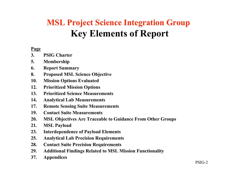# **MSL Project Science Integration Group Key Elements of Report**

#### **Page**

- **3. PSIG Charter**
- **5. Membership**
- **6. Report Summary**
- **8. Proposed MSL Science Objective**
- **10. Mission Options Evaluated**
- **12. Prioritized Mission Options**
- **13. Prioritized Science Measurements**
- **14. Analytical Lab Measurements**
- **17. Remote Sensing Suite Measurements**
- **19. Contact Suite Measurements**
- **20. MSL Objectives Are Traceable to Guidance From Other Groups**
- **21. MSL Payload**
- **23. Interdependence of Payload Elements**
- **25. Analytical Lab Precision Requirements**
- **28. Contact Suite Precision Requirements**
- **29. Additional Findings Related to MSL Mission Functionality**
- **37. Appendices**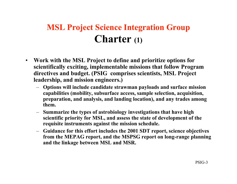# **MSL Project Science Integration Group Charter (1)**

- **Work with the MSL Project to define and prioritize options for scientifically exciting, implementable missions that follow Program directives and budget. (PSIG comprises scientists, MSL Project leadership, and mission engineers.)**
	- **Options will include candidate strawman payloads and surface mission capabilities (mobility, subsurface access, sample selection, acquisition, preparation, and analysis, and landing location), and any trades among them.**
	- **Summarize the types of astrobiology investigations that have high scientific priority for MSL, and assess the state of development of the requisite instruments against the mission schedule.**
	- **Guidance for this effort includes the 2001 SDT report, science objectives from the MEPAG report, and the MSPSG report on long-range planning and the linkage between MSL and MSR.**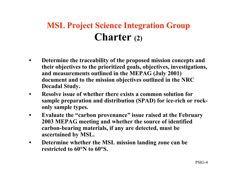# **MSL Project Science Integration Group Charter (2)**

- **Determine the traceability of the proposed mission concepts and their objectives to the prioritized goals, objectives, investigations, and measurements outlined in the MEPAG (July 2001) document and to the mission objectives outlined in the NRC Decadal Study.**
- **Resolve issue of whether there exists a common solution for sample preparation and distribution (SPAD) for ice-rich or rockonly sample types.**
- **Evaluate the "carbon provenance" issue raised at the February 2003 MEPAG meeting and whether the source of identified carbon-bearing materials, if any are detected, must be ascertained by MSL.**
- **Determine whether the MSL mission landing zone can be restricted to 60°N to 60°S.**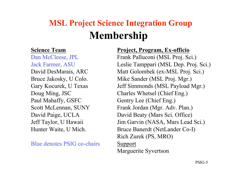# **Membership MSL Project Science Integration Group**

#### **Science Team**

Dan McCleese, JPL Jack Farmer, ASU David DesMarais, ARC Bruce Jakosky, U Colo. Gary Kocurek, U Texas Doug Ming, JSC Paul Mahaffy, GSFC Scott McLennan, SUNY David Paige, UCLA Jeff Taylor, U Hawaii Hunter Waite, U Mich.

Blue denotes PSIG co-chairs

#### **Project, Program, Ex-officio**

Frank Palluconi (MSL Proj. Sci.) Leslie Tamppari (MSL Dep. Proj. Sci.) Matt Golombek (ex-MSL Proj. Sci.) Mike Sander (MSL Proj. Mgr.) Jeff Simmonds (MSL Payload Mgr.) Charles Whetsel (Chief Eng.) Gentry Lee (Chief Eng.) Frank Jordan (Mgr. Adv. Plan.) David Beaty (Mars Sci. Office) Jim Garvin (NASA, Mars Lead Sci.) Bruce Banerdt (NetLander Co-I) Rich Zurek (PS, MRO) Support Marguerite Syvertson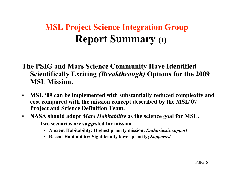# **MSL Project Science Integration Group Report Summary (1)**

#### **The PSIG and Mars Science Community Have Identified Scientifically Exciting** *(Breakthrough)* **Options for the 2009 MSL Mission.**

- **MSL '09 can be implemented with substantially reduced complexity and cost compared with the mission concept described by the MSL'07 Project and Science Definition Team.**
- **NASA should adopt** *Mars Habitability* **as the science goal for MSL.**
	- **Two scenarios are suggested for mission**
		- **Ancient Habitability: Highest priority mission;** *Enthusiastic support*
		- **Recent Habitability: Significantly lower priority;** *Supported*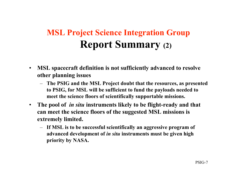# **MSL Project Science Integration Group Report Summary (2)**

- **MSL spacecraft definition is not sufficiently advanced to resolve other planning issues**
	- **The PSIG and the MSL Project doubt that the resources, as presented to PSIG, for MSL will be sufficient to fund the payloads needed to meet the science floors of scientifically supportable missions.**
- **The pool of** *in situ* **instruments likely to be flight-ready and that can meet the science floors of the suggested MSL missions is extremely limited.**
	- **If MSL is to be successful scientifically an aggressive program of advanced development of** *in situ* **instruments must be given high priority by NASA.**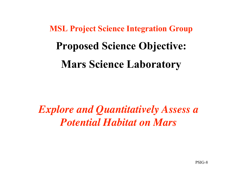**MSL Project Science Integration Group Proposed Science Objective: Mars Science Laboratory**

*Explore and Quantitatively Assess a Potential Habitat on Mars*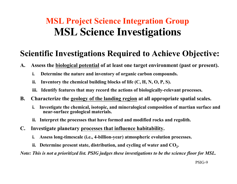# **MSL Project Science Integration Group MSL Science Investigations**

### **Scientific Investigations Required to Achieve Objective:**

- **A. Assess the biological potential of at least one target environment (past or present).**
	- **i. Determine the nature and inventory of organic carbon compounds.**
	- **ii. Inventory the chemical building blocks of life (C, H, N, O, P, S).**
	- **iii. Identify features that may record the actions of biologically-relevant processes.**
- **B. Characterize the geology of the landing region at all appropriate spatial scales.**
	- **i. Investigate the chemical, isotopic, and mineralogical composition of martian surface and near-surface geological materials.**
	- **ii. Interpret the processes that have formed and modified rocks and regolith.**
- **C. Investigate planetary processes that influence habitability.**
	- **i. Assess long-timescale (i.e., 4-billion-year) atmospheric evolution processes.**
	- ii. Determine present state, distribution, and cycling of water and CO<sub>2</sub>.

*Note: This is not a prioritized list. PSIG judges these investigations to be the science floor for MSL.*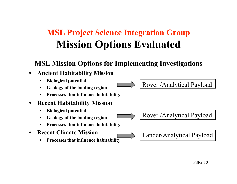# **MSL Project Science Integration Group Mission Options Evaluated**

#### **MSL Mission Options for Implementing Investigations**

#### • **Ancient Habitability Mission**

- **Biological potential**
- **Geology of the landing region**
- **Processes that influence habitability**

#### • **Recent Habitability Mission**

- **Biological potential**
- **Geology of the landing region**
- **Processes that influence habitability**
- **Recent Climate Mission**
	- **Processes that influence habitability**

#### Rover /Analytical Payload

Rover /Analytical Payload



PSIG-10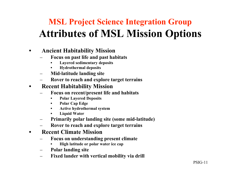# **MSL Project Science Integration Group Attributes of MSL Mission Options**

#### • **Ancient Habitability Mission**

- **Focus on past life and past habitats**
	- **Layered sedimentary deposits**
	- **Hydrothermal deposits**
- **Mid-latitude landing site**
- **Rover to reach and explore target terrains**

#### • **Recent Habitability Mission**

- **Focus on recent/present life and habitats**
	- **Polar Layered Deposits**
	- **Polar Cap Edge**
	- **Active hydrothermal system**
	- **Liquid Water**
- **Primarily polar landing site (some mid-latitude)**
- **Rover to reach and explore target terrains**

#### • **Recent Climate Mission**

- **Focus on understanding present climate**
	- **High latitude or polar water ice cap**
- **Polar landing site**
- **Fixed lander with vertical mobility via drill**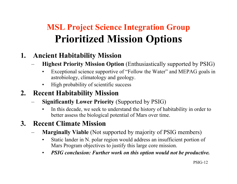# **MSL Project Science Integration Group Prioritized Mission Options**

#### **1. Ancient Habitability Mission**

- **Highest Priority Mission Option** (Enthusiastically supported by PSIG)
	- Exceptional science supportive of "Follow the Water" and MEPAG goals in astrobiology, climatology and geology.
	- High probability of scientific success

### **2. Recent Habitability Mission**

- **Significantly Lower Priority** (Supported by PSIG)
	- In this decade, we seek to understand the history of habitability in order to better assess the biological potential of Mars over time.

### **3. Recent Climate Mission**

- **Marginally Viable** (Not supported by majority of PSIG members)
	- Static lander in N. polar region would address an insufficient portion of Mars Program objectives to justify this large core mission.
	- *PSIG conclusion: Further work on this option would not be productive.*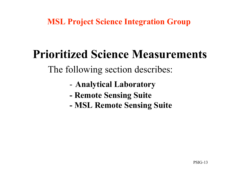**MSL Project Science Integration Group**

# **Prioritized Science Measurements**

The following section describes:

- **Analytical Laboratory**
- **Remote Sensing Suite**
- **MSL Remote Sensing Suite**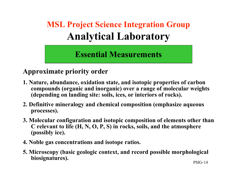# **MSL Project Science Integration Group Analytical Laboratory**

**Essential Measurements**

#### **Approximate priority order**

- **1. Nature, abundance, oxidation state, and isotopic properties of carbon compounds (organic and inorganic) over a range of molecular weights (depending on landing site: soils, ices, or interiors of rocks).**
- **2. Definitive mineralogy and chemical composition (emphasize aqueous processes).**
- **3. Molecular configuration and isotopic composition of elements other than C relevant to life (H, N, O, P, S) in rocks, soils, and the atmosphere (possibly ice).**
- **4. Noble gas concentrations and isotope ratios.**
- PSIG-14 **5. Microscopy (basic geologic context, and record possible morphological biosignatures).**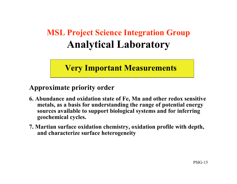# **MSL Project Science Integration Group Analytical Laboratory**

### **Very Important Measurements**

#### **Approximate priority order**

- **6. Abundance and oxidation state of Fe, Mn and other redox sensitive metals, as a basis for understanding the range of potential energy sources available to support biological systems and for inferring geochemical cycles.**
- **7. Martian surface oxidation chemistry, oxidation profile with depth, and characterize surface heterogeneity**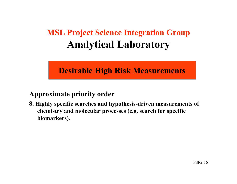# **MSL Project Science Integration Group Analytical Laboratory**

### **Desirable High Risk Measurements**

#### **Approximate priority order**

**8. Highly specific searches and hypothesis-driven measurements of chemistry and molecular processes (e.g. search for specific biomarkers).**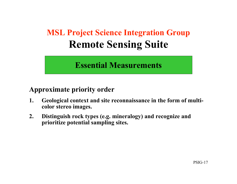# **MSL Project Science Integration Group Remote Sensing Suite**

### **Essential Measurements**

#### **Approximate priority order**

- **1. Geological context and site reconnaissance in the form of multicolor stereo images.**
- **2. Distinguish rock types (e.g. mineralogy) and recognize and prioritize potential sampling sites.**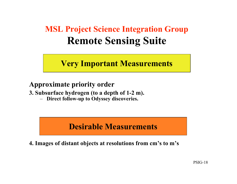# **MSL Project Science Integration Group Remote Sensing Suite**

### **Very Important Measurements**

#### **Approximate priority order**

**3. Subsurface hydrogen (to a depth of 1-2 m).**

– **Direct follow-up to Odyssey discoveries.**

### **Desirable Measurements**

**4. Images of distant objects at resolutions from cm's to m's**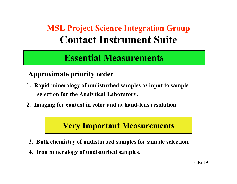# **MSL Project Science Integration Group Contact Instrument Suite**

## **Essential Measurements**

#### **Approximate priority order**

- 1**. Rapid mineralogy of undisturbed samples as input to sample selection for the Analytical Laboratory.**
- **2. Imaging for context in color and at hand-lens resolution.**

#### **Very Important Measurements**

- **3. Bulk chemistry of undisturbed samples for sample selection.**
- **4. Iron mineralogy of undisturbed samples.**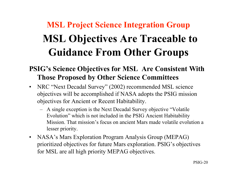# **MSL Project Science Integration Group MSL Objectives Are Traceable to Guidance From Other Groups**

#### **PSIG's Science Objectives for MSL Are Consistent With Those Proposed by Other Science Committees**

- NRC "Next Decadal Survey" (2002) recommended MSL science objectives will be accomplished if NASA adopts the PSIG mission objectives for Ancient or Recent Habitability.
	- A single exception is the Next Decadal Survey objective "Volatile Evolution" which is not included in the PSIG Ancient Habitability Mission. That mission's focus on ancient Mars made volatile evolution a lesser priority.
- NASA's Mars Exploration Program Analysis Group (MEPAG) prioritized objectives for future Mars exploration. PSIG's objectives for MSL are all high priority MEPAG objectives.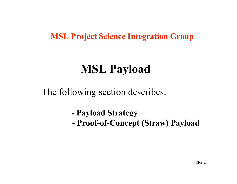### **MSL Project Science Integration Group**

# **MSL Payload**

The following section describes:

- **Payload Strategy**
- **Proof-of-Concept (Straw) Payload**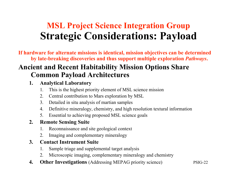# **MSL Project Science Integration Group Strategic Considerations: Payload**

**If hardware for alternate missions is identical, mission objectives can be determined by late-breaking discoveries and thus support multiple exploration** *Pathways***.**

#### **Ancient and Recent Habitability Mission Options Share Common Payload Architectures**

#### **1. Analytical Laboratory**

- 1. This is the highest priority element of MSL science mission
- 2. Central contribution to Mars exploration by MSL
- 3. Detailed in situ analysis of martian samples
- 4. Definitive mineralogy, chemistry, and high resolution textural information
- 5. Essential to achieving proposed MSL science goals

#### **2. Remote Sensing Suite**

- 1. Reconnaissance and site geological context
- 2. Imaging and complementary mineralogy

#### **3. Contact Instrument Suite**

- 1. Sample triage and supplemental target analysis
- 2. Microscopic imaging, complementary mineralogy and chemistry
- **4. Other Investigations** (Addressing MEPAG priority science)

PSIG-22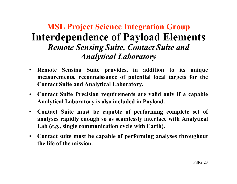## **MSL Project Science Integration Group Interdependence of Payload Elements** *Remote Sensing Suite, Contact Suite and Analytical Laboratory*

- **Remote Sensing Suite provides, in addition to its unique measurements, reconnaissance of potential local targets for the Contact Suite and Analytical Laboratory.**
- **Contact Suite Precision requirements are valid only if a capable Analytical Laboratory is also included in Payload.**
- **Contact Suite must be capable of performing complete set of analyses rapidly enough so as seamlessly interface with Analytical Lab (***e.g.,* **single communication cycle with Earth).**
- **Contact suite must be capable of performing analyses throughout the life of the mission.**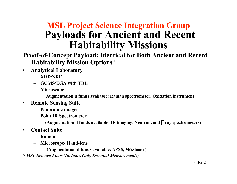## **MSL Project Science Integration Group Payloads for Ancient and Recent Habitability Missions**

#### **Proof-of-Concept Payload: Identical for Both Ancient and Recent Habitability Mission Options\***

- **Analytical Laboratory**
	- **XRD/XRF**
	- **GCMS/EGA with TDL**
	- **Microscope**

**(Augmentation if funds available: Raman spectrometer, Oxidation instrument)**

- **Remote Sensing Suite**
	- **Panoramic imager**
	- **Point IR Spectrometer**

 **(Augmentation if funds available: IR imaging, Neutron, and** g**-ray spectrometers)**

- **Contact Suite**
	- **Raman**
	- **Microscope/ Hand-lens**

 **(Augmentation if funds available: APXS, Mössbauer)**

*\* MSL Science Floor (Includes Only Essential Measurements)*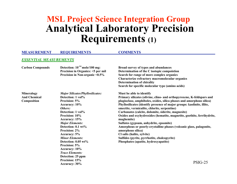## **MSL Project Science Integration Group Analytical Laboratory Precision Requirements (1)**

#### **MEASUREMENT REQUIREMENTS COMMENTS**  *ESSENTIAL MEASUREMENTS* **Carbon Compounds Detection: 10-14 mole/100 mg: Broad survey of types and abundances Precision in Organics: <5 per mil Determination of the C isotopic compoistion Precision in Non-organic <0.5% Search for range of more complex organics Characterize refractory macromolecular organics Determination of chirality Search for specific molecular type (amino acids) Mineralogy** *Major Silicates/Phyllosilicates:* **Must be able to identify And Chemical Detection: 1 vol% Primary silicates (olivine, clino- and orthopyroxene, K-feldspars and Composition Precision: 5% plagioclase, amphiboles, oxides, silica phases and amorphous silica) Accuracy: 10% Phyllosilicates (identify presence of major groups: kaolinite, illite,** *Others:* **smectite, vermiculite, chlorite, serpentine) Detection: 1 vol% Carbonates (calcite, dolomite, siderite, magnesite) Precision: 10% Oxides and oxyhydroxides (hematite, magnetite, goethite, ferrihydrite, Accuracy: 15% maghemite)** *Major Elements:* **Sulfates (gypsum, anhydrite, epsomite) Detection: 0.1 wt% Amorphous or poorly-crystalline phases (volcanic glass, palagonite, Precision: 2% amorphous silica) Accuracy: 5% Cl salts (halite, sylvite)** *Minor Elements:* **Sulfides (pyrite, pyrrhotite, chalcopyrite) Detection: 0.05 wt% Phosphates (apatite, hydroxyapatite) Precision: 5% Accuracy: 10%** *Trace Elements:* **Detection: 25 ppm**

**Precision: 15% Accuracy: 30%**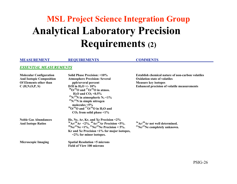# **MSL Project Science Integration Group Analytical Laboratory Precision Requirements (2)**

#### **MEASUREMENT REQUIREMENTS COMMENTS**

#### *ESSENTIAL MEASUREMENTS*

| <b>Molecular Configuration</b><br><b>And Isotopic Composition</b><br>Of Elements other than<br>C(H,N,O,P,S) | Solid Phase Precision: <10%<br><b>Atmosphere Precision: Several</b><br>ppb/several percent<br>D/H in H <sub>2</sub> O +/- 10\%<br>$^{18}O/^{16}O$ and $^{17}O/^{16}O$ in atmos.<br>$H_2O$ and $CO_2 < 0.5\%$<br>$15N/14N$ in atmospheric N <sub>2</sub> <1%<br>$^{15}N/^{14}N$ in simple nitrogen<br>molecules $\leq 5\%$<br>$^{18}O/^{16}O$ and $^{17}O/^{16}O$ in H <sub>2</sub> O and<br>$CO2$ from solid phase <1% | <b>Establish chemical nature of non-carbon volatiles</b><br><b>Oxidation state of volatiles</b><br><b>Measure key isotopes</b><br><b>Enhanced precision of volatile measurements</b> |
|-------------------------------------------------------------------------------------------------------------|------------------------------------------------------------------------------------------------------------------------------------------------------------------------------------------------------------------------------------------------------------------------------------------------------------------------------------------------------------------------------------------------------------------------|--------------------------------------------------------------------------------------------------------------------------------------------------------------------------------------|
| <b>Noble Gas Abundances</b><br><b>And Isotope Ratios</b>                                                    | He, Ne, Ar, Kr, and Xe Precision $\leq 2\%$<br>$^{36}Ar/^{38}Ar \le 2\%$ , $^{40}Ar/^{36}Ar$ Precision <5%.<br><sup>20</sup> Ne/ <sup>22</sup> Ne <1%, <sup>21</sup> Ne/ <sup>22</sup> Ne Precision < 5%.<br>Kr and Xe Precision $\leq 1\%$ for major isotopes,<br>$\langle 2\%$ for minor isotopes.                                                                                                                   | $36$ Ar $/38$ Ar not well determined.<br>$^{21}$ Ne/ $^{22}$ Ne completely unknown.                                                                                                  |
| <b>Microscopic Imaging</b>                                                                                  | <b>Spatial Resolution &lt;5 microns</b><br><b>Field of View 100 microns</b>                                                                                                                                                                                                                                                                                                                                            |                                                                                                                                                                                      |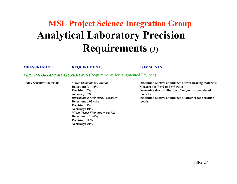# **MSL Project Science Integration Group Analytical Laboratory Precision Requirements (3)**

**MEASUREMENT REQUIREMENTS COMMENTS** 

#### **VERY IMPORTANT MEASUREMENTS** (Requirements for Augmented Payload)

**Detection: 0.1 wt% Measure the Fe+2 to Fe+3 ratio Accuracy: 5% particles Detection: 0.05wt% metals Precision: 5% Accuracy: 10%** *Minor/Trace Elements (<1wt%):* **Detection: 0.1 wt% Precision: 10% Accuracy: 20%**

**Redox Sensitive Materials** *Major Elements (>10wt%):* **Determine relative abundance of iron-bearing materials Precision: 2%** *Determine size distribution of magnetically-ordered Intermediate Elements(1-10wt%):* **Determine relative abundance of other redox sensitive**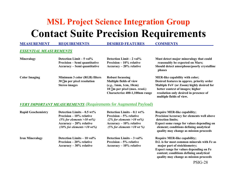# **MSL Project Science Integration Group Contact Suite Precision Requirements**

#### **MEASUREMENT REQUIREMENTS DESIRED FEATURES COMMENTS**  *ESSENTIAL MEASUREMENTS* **Mineralogy Detection Limit – 5 vol% Detection Limit – 2 vol% Must detect major mineralogy that could** Precision – Semi quantitative Precision – 10% relative reasonably be expected on Mars;<br>Accuracy – Semi quantitative Accuracy – 20% relative Should detect amorphous/poorly cr **Accuracy – Semi quantitative Accuracy – 20% relative Should detect amorphous/poorly crystalline phases Color Imaging Minimum 3 color (RGB) filters Robust focussing MER-like capability with color; 30** m**m per pixel resolution Multiple fields of view Desired features in approx. priority order Stereo images (***e.g.,* **1mm, 1cm, 10cm) Multiple FoV (or Zoom) highly desired for 10**  $\mu$ m per pixel (max. resol.) better context of images; higher

**Characterize 400-1,100nm range resolution only desired in presence of**

 **multiple fields of view.**

#### **VERY IMPORTANT MEASUREMENTS** (Requirements for Augmented Payload)

| <b>Rapid Geochemistry</b> | Detection Limits $-0.5$ wt%<br><b>Precision – 10% relative</b><br>$(5\%$ for elements >10 wt%)<br>$Accuracy - 20\%$ relative<br>$(10\%$ for elements >10 wt%) | Detection Limits $-0.1$ wt%<br><b>Precision – 5% relative</b><br>$(2\%$ for elements >10 wt%)<br>$Accuracy - 10\%$ relative<br>$(5\%$ for elements >10 wt %) | <b>Require MER-like capability;</b><br><b>Precision/Accuracy for elements well above</b><br>detection limits;<br>Expect some range for values depending on<br>element; conditions defining analytical<br>quality may change as mission proceeds |
|---------------------------|---------------------------------------------------------------------------------------------------------------------------------------------------------------|--------------------------------------------------------------------------------------------------------------------------------------------------------------|-------------------------------------------------------------------------------------------------------------------------------------------------------------------------------------------------------------------------------------------------|
| <b>Iron Mineralogy</b>    | Detection Limits $-10$ vol%<br>Precision $-20\%$ relative                                                                                                     | Detection Limits $-3$ vol%<br>Precision $-5%$ relative                                                                                                       | <b>Require MER-like capability;</b><br>D.L is for most common minerals with Fe as                                                                                                                                                               |
|                           | $Accuracy - 30\%$ relative                                                                                                                                    | Accuracy – 10% relative                                                                                                                                      | major part of stoichiometry;                                                                                                                                                                                                                    |
|                           |                                                                                                                                                               |                                                                                                                                                              | Expect range for values depending on Fe<br>content; conditions defining analytical                                                                                                                                                              |
|                           |                                                                                                                                                               |                                                                                                                                                              | quality may change as mission proceeds                                                                                                                                                                                                          |

PSIG-28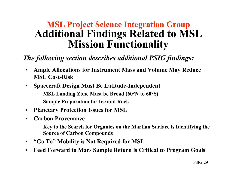## **MSL Project Science Integration Group Additional Findings Related to MSL Mission Functionality**

#### *The following section describes additional PSIG findings:*

- **Ample Allocations for Instrument Mass and Volume May Reduce MSL Cost-Risk**
- **Spacecraft Design Must Be Latitude-Independent**
	- **MSL Landing Zone Must be Broad (60°N to 60°S)**
	- **Sample Preparation for Ice and Rock**
- **Planetary Protection Issues for MSL**
- **Carbon Provenance**
	- **Key to the Search for Organics on the Martian Surface is Identifying the Source of Carbon Compounds**
- **"Go To" Mobility is Not Required for MSL**
- **Feed Forward to Mars Sample Return is Critical to Program Goals**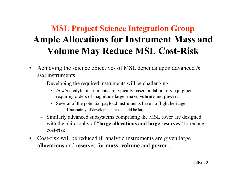# **MSL Project Science Integration Group Ample Allocations for Instrument Mass and Volume May Reduce MSL Cost-Risk**

- Achieving the science objectives of MSL depends upon advanced *in situ* instruments.
	- Developing the required instruments will be challenging.
		- *In situ* analytic instruments are typically based on laboratory equipment requiring orders of magnitude larger **mass**, **volume** and **power**.
		- Several of the potential payload instruments have no flight heritage.
			- Uncertainty of development cost could be large
	- Similarly advanced subsystems comprising the MSL rover are designed with the philosophy of **"large allocations and large reserves"** to reduce cost-risk.
- Cost-risk will be reduced if analytic instruments are given large **allocations** and reserves for **mass**, **volume** and **power** .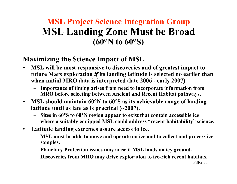## **MSL Project Science Integration Group MSL Landing Zone Must be Broad (60°N to 60°S)**

#### **Maximizing the Science Impact of MSL**

- **MSL will be most responsive to discoveries and of greatest impact to future Mars exploration** *if* **its landing latitude is selected no earlier than when initial MRO data is interpreted (late 2006 - early 2007).**
	- **Importance of timing arises from need to incorporate information from MRO before selecting between Ancient and Recent Habitat pathways.**
- **MSL should maintain 60°N to 60°S as its achievable range of landing latitude until as late as is practical (~2007).**
	- **Sites in 60**°**S to 60**°**N region appear to exist that contain accessible ice where a suitably equipped MSL could address "recent habitability" science.**
- **Latitude landing extremes assure access to ice.**
	- **MSL must be able to move and operate on ice and to collect and process ice samples.**
	- **Planetary Protection issues may arise if MSL lands on icy ground.**
	- **Discoveries from MRO may drive exploration to ice-rich recent habitats.**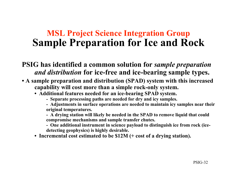## **MSL Project Science Integration Group Sample Preparation for Ice and Rock**

#### **PSIG has identified a common solution for** *sample preparation and distribution* **for ice-free and ice-bearing sample types.**

- **A sample preparation and distribution (SPAD) system with this increased capability will cost more than a simple rock-only system.**
	- **Additional features needed for an ice-bearing SPAD system.**
		- **Separate processing paths are needed for dry and icy samples.**
		- **Adjustments in surface operations are needed to maintain icy samples near their original temperatures.**
		- **A drying station will likely be needed in the SPAD to remove liquid that could compromise mechanisms and sample transfer chutes.**
		- **One additional instrument in science payload to distinguish ice from rock (icedetecting geophysics) is highly desirable.**
	- **Incremental cost estimated to be \$12M (+ cost of a drying station).**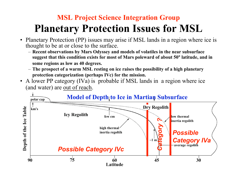# **MSL Project Science Integration Group Planetary Protection Issues for MSL**

- Planetary Protection (PP) issues may arise if MSL lands in a region where ice is thought to be at or close to the surface.
	- **Recent observations by Mars Odyssey and models of volatiles in the near subsurface suggest that this condition exists for most of Mars poleward of about 50**° **latitude, and in some regions as low as 40 degrees.**
	- **The prospect of a warm MSL resting on ice raises the possibility of a high planetary protection categorization (perhaps IVc) for the mission.**
- A lower PP category (IVa) is probable if MSL lands in a region where ice (and water) are out of reach.

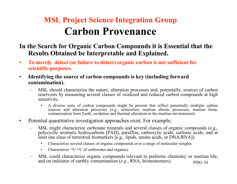# **MSL Project Science Integration Group Carbon Provenance**

#### **In the Search for Organic Carbon Compounds it is Essential that the Results Obtained be Interpretable and Explained.**

- **To merely detect (or failure to detect) organic carbon is not sufficient for scientific purposes.**
- **Identifying the source of carbon compounds is key (including forward contamination).**
	- MSL should characterize the nature, alteration processes and, potentially, sources of carbon reservoirs by measuring several classes of oxidized and reduced carbon compounds at high sensitivity.
		- A diverse suite of carbon compounds might be present that reflect potentially multiple carbon sources and alteration processes (e.g., meteorites, martian abiotic processes, martian biota, contamination from Earth, oxidation and thermal alteration in the martian environment).
- Potential quantitative investigation approaches exist. For example;
	- MSL might characterize carbonate minerals and several classes of organic compounds (e.g., polycyclic aromatic hydrocarbons [PAH], paraffins, carboxylic acids, sulfonic acids, and at least one class of terrestrial biomarkers [e.g., lipids, amino acids, or DNA/RNA]).
		- Characterize several classes of organic compounds over a range of molecular weights
		- Characterize  ${}^{13}C/{}^{12}C$  of carbonates and organics
	- PSIG-34 – MSL could characterize organic compounds relevant to prebiotic chemistry or martian life, and on indicator of earthly contamination (*e.g.*, RNA, biomonomers).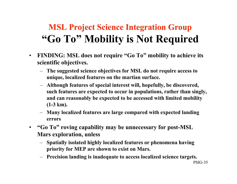# **MSL Project Science Integration Group "Go To" Mobility is Not Required**

- **FINDING: MSL does not require "Go To" mobility to achieve its scientific objectives.**
	- **The suggested science objectives for MSL do not require access to unique, localized features on the martian surface.**
	- **Although features of special interest will, hopefully, be discovered, such features are expected to occur in populations, rather than singly, and can reasonably be expected to be accessed with limited mobility (1-3 km).**
	- **Many localized features are large compared with expected landing errors**
- **"Go To" roving capability may be unnecessary for post-MSL Mars exploration, unless**
	- **Spatially isolated highly localized features or phenomena having priority for MEP are shown to exist on Mars.**
	- **Precision landing is inadequate to access localized science targets.**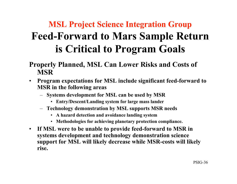# **MSL Project Science Integration Group Feed-Forward to Mars Sample Return is Critical to Program Goals**

#### **Properly Planned, MSL Can Lower Risks and Costs of MSR**

- **Program expectations for MSL include significant feed-forward to MSR in the following areas**
	- **Systems development for MSL can be used by MSR**
		- **Entry/Descent/Landing system for large mass lander**
	- **Technology demonstration by MSL supports MSR needs**
		- **A hazard detection and avoidance landing system**
		- **Methodologies for achieving planetary protection compliance.**
- **If MSL were to be unable to provide feed-forward to MSR in systems development and technology demonstration science support for MSL will likely decrease while MSR-costs will likely rise.**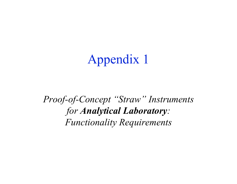# Appendix 1

*Proof-of-Concept "Straw" Instruments for Analytical Laboratory: Functionality Requirements*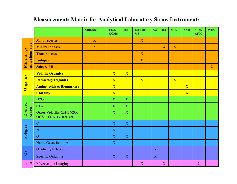#### **XRD/XRF EGA/ TDL**  $LD-TOF \vert$  OX  $\vert$  IM  $\vert$  MLR **AAD SEM/ WEA GCMS MS AFM Major species**  $X = \begin{bmatrix} X & 1 & 1 \end{bmatrix}$  X and chemistry **and chemistry Mineral phases X** X X X X X X Mineralogy **Mineralogy Trace species** X **Isotopes** X **I Salts & PH** X **Volatile Organics X** X X X **Organics Refractory Organics X** X X X X X X X X **Amino Acids & Biomarkers**  $\begin{array}{|c|c|c|c|}\n\hline\nX\n\end{array}$ X **Chirality X** X **H2O** X X X **Evolved CO2** X X X **Gases Other Volatiles CH4, N2O,**  $\begin{vmatrix} x \\ y \end{vmatrix}$  **x**  $\begin{vmatrix} x \\ x \end{vmatrix}$  **x OCS, CO, NH3, H2S etc. C** X X X **Isotopes N** X **O** X X X **Noble Gases Isotopes** X **Oxidizing Effects X Ox Specific Oxidants** X X X X X X X X **Microscopic Imaging** X X X X X X  $X$ **I m**

#### **Measurements Matrix for Analytical Laboratory Straw Instruments**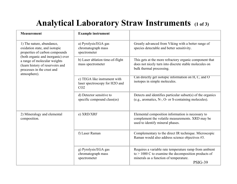### **Analytical Laboratory Straw Instruments (1 of 3)**

| <b>Measurement</b>                                                                                                                                                                                                                                  | <b>Example instrument</b>                                                         |                                                                                                                                                                              |
|-----------------------------------------------------------------------------------------------------------------------------------------------------------------------------------------------------------------------------------------------------|-----------------------------------------------------------------------------------|------------------------------------------------------------------------------------------------------------------------------------------------------------------------------|
| 1) The nature, abundance,<br>oxidation state, and isotopic<br>properties of carbon compounds<br>(both organic and inorganic) over<br>a range of molecular weights<br>(learn history of reservoirs and<br>processes in the crust and<br>atmosphere). | a) Pyrolysis/EGA gas<br>chromatograph mass<br>spectrometer                        | Greatly advanced from Viking with a better range of<br>species detectable and better sensitivity.                                                                            |
|                                                                                                                                                                                                                                                     | b) Laser ablation time-of-flight<br>mass spectrometer                             | This gets at the more refractory organic component that<br>does not nicely turn into discrete stable molecules on<br>bulk thermal processing.                                |
|                                                                                                                                                                                                                                                     | c) TEGA like instrument with<br>laser spectroscopy for H2O and<br>CO <sub>2</sub> | Can directly get isotopic information on $H, C$ , and $O$<br>isotopes in simple molecules.                                                                                   |
|                                                                                                                                                                                                                                                     | d) Detector sensitive to<br>specific compound class(es)                           | Detects and identifies particular subset(s) of the organics<br>(e.g., aromatics, N-, O- or S-containing molecules).                                                          |
| 2) Mineralogy and elemental<br>composition.                                                                                                                                                                                                         | e) XRD/XRF                                                                        | Elemental composition information is necessary to<br>complement the volatile measurements. XRD may be<br>used to identify mineral phases.                                    |
|                                                                                                                                                                                                                                                     | f) Laser Raman                                                                    | Complementary to the direct IR technique. Microscopic<br>Raman would also address science objectives #3.                                                                     |
|                                                                                                                                                                                                                                                     | g) Pyrolysis/EGA gas<br>chromatograph mass<br>spectrometer                        | Requires a variable rate temperature ramp from ambient<br>to $> 1000$ C to examine the decomposition products of<br>minerals as a function of temperature.<br><b>PSIG-39</b> |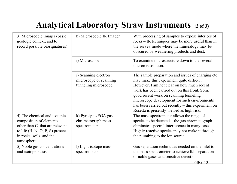## **Analytical Laboratory Straw Instruments (2 of 3)**

| 3) Microscopic imager (basic<br>geologic context, and to<br>record possible biosignatures)                                                                                | h) Microscopic IR Imager                                                | With processing of samples to expose interiors of<br>rocks – IR techniques may be more useful than in<br>the survey mode where the mineralogy may be<br>obscured by weathering products and dust.                                                                                                                                                                                          |
|---------------------------------------------------------------------------------------------------------------------------------------------------------------------------|-------------------------------------------------------------------------|--------------------------------------------------------------------------------------------------------------------------------------------------------------------------------------------------------------------------------------------------------------------------------------------------------------------------------------------------------------------------------------------|
|                                                                                                                                                                           | i) Microscope                                                           | To examine microstructure down to the several<br>micron resolution.                                                                                                                                                                                                                                                                                                                        |
|                                                                                                                                                                           | j) Scanning electron<br>microscope or scanning<br>tunneling microscope. | The sample preparation and issues of charging etc<br>may make this experiment quite difficult.<br>However, I am not clear on how much recent<br>work has been carried out on this front. Some<br>good recent work on scanning tunneling<br>microscope development for such environments<br>has been carried out recently – this experiment on<br>Rosetta is presently viewed as high risk. |
| 4) The chemical and isotopic<br>composition of elements<br>other than C that are relevant<br>to life $(H, N, O, P, S)$ present<br>in rocks, soils, and the<br>atmosphere. | k) Pyrolysis/EGA gas<br>chromatograph mass<br>spectrometer              | The mass spectrometer allows the range of<br>species to be detected – the gas chromatograph<br>eliminates spectral interference in many cases.<br>Highly reactive species may not make it through<br>the plumbing to the ion source.                                                                                                                                                       |
| 5) Noble gas concentrations<br>and isotope ratios                                                                                                                         | 1) Light isotope mass<br>spectrometer                                   | Gas separation techniques needed on the inlet to<br>the mass spectrometer to achieve full separation<br>of noble gases and sensitive detection.<br>$PSIG-40$                                                                                                                                                                                                                               |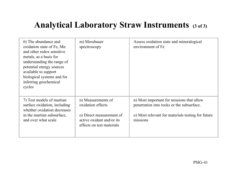### **Analytical Laboratory Straw Instruments (3 of 3)**

| 6) The abundance and<br>oxidation state of Fe, Mn<br>and other redox sensitive<br>metals, as a basis for<br>understanding the range of<br>potential energy sources<br>available to support<br>biological systems and for<br>inferring geochemical<br>cycles | m) Mossbauer<br>spectroscopy                                                                                                  | Assess oxidation state and mineralogical<br>environment of Fe                                                                                           |
|-------------------------------------------------------------------------------------------------------------------------------------------------------------------------------------------------------------------------------------------------------------|-------------------------------------------------------------------------------------------------------------------------------|---------------------------------------------------------------------------------------------------------------------------------------------------------|
| 7) Test models of martian<br>surface oxidation, including<br>whether oxidation decreases<br>in the martian subsurface,<br>and over what scale                                                                                                               | n) Measurements of<br>oxidation effects<br>o) Direct measurement of<br>active oxidant and/or its<br>effects on test materials | n) Most important for missions that allow<br>penetration into rocks or the subsurface.<br>o) Most relevant for materials testing for future<br>missions |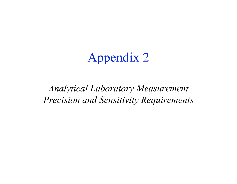# Appendix 2

## *Analytical Laboratory Measurement Precision and Sensitivity Requirements*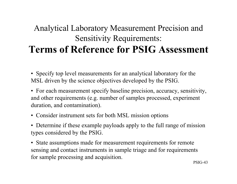### Analytical Laboratory Measurement Precision and Sensitivity Requirements: **Terms of Reference for PSIG Assessment**

• Specify top level measurements for an analytical laboratory for the MSL driven by the science objectives developed by the PSIG.

- For each measurement specify baseline precision, accuracy, sensitivity, and other requirements (e.g. number of samples processed, experiment duration, and contamination).
- Consider instrument sets for both MSL mission options
- Determine if these example payloads apply to the full range of mission types considered by the PSIG.
- State assumptions made for measurement requirements for remote sensing and contact instruments in sample triage and for requirements for sample processing and acquisition.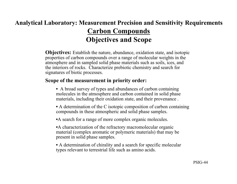### **Analytical Laboratory: Measurement Precision and Sensitivity Requirements Carbon Compounds Objectives and Scope**

**Objectives:** Establish the nature, abundance, oxidation state, and isotopic properties of carbon compounds over a range of molecular weights in the atmosphere and in sampled solid phase materials such as soils, ices, and the interiors of rocks. Characterize prebiotic chemistry and search for signatures of biotic processes.

#### **Scope of the measurement in priority order:**

- A broad survey of types and abundances of carbon containing molecules in the atmosphere and carbon contained in solid phase materials, including their oxidation state, and their provenance .
- A determination of the C isotopic composition of carbon containing compounds in these atmospheric and solid phase samples.
- •A search for a range of more complex organic molecules.
- •A characterization of the refractory macromolecular organic material (complex aromatic or polymeric materials) that may be present in solid phase samples.
- A determination of chirality and a search for specific molecular types relevant to terrestrial life such as amino acids.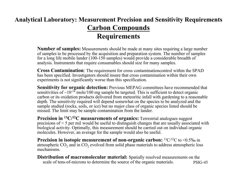### **Analytical Laboratory: Measurement Precision and Sensitivity Requirements Carbon Compounds Requirements**

**Number of samples:** Measurements should be made at many sites requiring a large number of samples to be processed by the acquisition and preparation system. The number of samples for a long life mobile lander (100-150 samples) would provide a considerable breadth of analysis. Instruments that require consumables should size for many samples.

**Cross Contamination**: The requirement for cross contaminationcontrol within the SPAD has been specified. Investigators should insure that cross contamination within their own experiments is not significantly worse than this specification.

**Sensitivity for organic detection:** Previous MEPAG committees have recommended that sensitivities of  $\sim 10^{-14}$  mole/100 mg sample be targeted. This is sufficient to detect organic carbon or its oxidation products delivered from meteoritic infall with gardening to a reasonable depth. The sensitivity required will depend somewhat on the species to be analyzed and the sample studied (rocks, soils, or ice) but no major class of organic species listed should be missed. The limit may be sample contamination from the lander.

**Precision in <sup>13</sup>C/<sup>12</sup>C measurements of organics:** Terrestrial analogues suggest precisions of < 5 per mil would be useful to distinguish changes that are usually associated with biological activity. Optimally, this measurement should be carried out on individual organic molecules. However, an average for the sample would also be useful.

**Precision in isotopic measurement of non-organic carbon:**  ${}^{13}C/{}^{12}C$  to  ${}^{13}O/{}^{12}C$ atmospheric  $CO<sub>2</sub>$  and in  $CO<sub>2</sub>$  evolved from solid phase materials to address atmospheric loss mechanisms.

PSIG-45 **Distribution of macromolecular material:** Spatially resolved measurements on the scale of tens-of-microns to determine the source of the organic materials.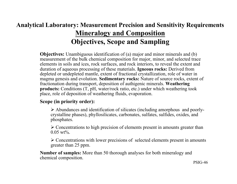### **Analytical Laboratory: Measurement Precision and Sensitivity Requirements Mineralogy and Composition Objectives, Scope and Sampling**

**Objectives:** Unambiguous identification of (a) major and minor minerals and (b) measurement of the bulk chemical composition for major, minor, and selected trace elements in soils and ices, rock surfaces, and rock interiors, to reveal the extent and duration of aqueous processing of these materials. **Igneous rocks:** Derived from depleted or undepleted mantle, extent of fractional crystallization, role of water in magma genesis and evolution. **Sedimentary rocks:** Nature of source rocks, extent of fractionation during transport, deposition of authigenic minerals. **Weathering products:** Conditions (T, pH, water/rock ratio, etc.) under which weathering took place, role of deposition of weathering fluids, evaporation.

#### **Scope (in priority order):**

 $\triangleright$  Abundances and identification of silicates (including amorphous and poorlycrystalline phases), phyllosilicates, carbonates, sulfates, sulfides, oxides, and phosphates.

 $\geq$  Concentrations to high precision of elements present in amounts greater than  $0.05 \text{ wt\%}$ 

 $\geq$  Concentrations with lower precisions of selected elements present in amounts greater than 25 ppm.

**Number of samples:** More than 50 thorough analyses for both mineralogy and chemical composition.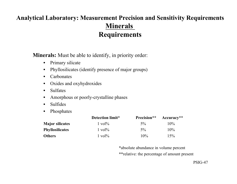### **Analytical Laboratory: Measurement Precision and Sensitivity Requirements Minerals Requirements**

**Minerals:** Must be able to identify, in priority order:

- Primary silicate
- Phyllosilicates (identify presence of major groups)
- Carbonates
- Oxides and oxyhydroxides
- Sulfates
- Amorphous or poorly-crystalline phases
- **Sulfides**
- Phosphates

|                        | Detection limit*   | Precision** | Accuracy** |
|------------------------|--------------------|-------------|------------|
| <b>Major silicates</b> | $1 \text{ vol} \%$ | $5\%$       | $10\%$     |
| <b>Phyllosilicates</b> | $1 \text{ vol} \%$ | $5\%$       | 10%        |
| <b>Others</b>          | $1 \text{ vol} \%$ | 10%         | 15%        |

\*absolute abundance in volume percent \*\*relative: the percentage of amount present

PSIG-47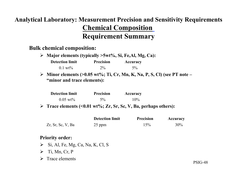### **Analytical Laboratory: Measurement Precision and Sensitivity Requirements Chemical Composition Requirement Summary**

#### **Bulk chemical composition:**

| $\triangleright$ Major elements (typically $\triangleright$ 5wt%, Si, Fe,Al, Mg, Ca): |       |       |  |  |  |
|---------------------------------------------------------------------------------------|-------|-------|--|--|--|
| <b>Precision</b><br><b>Detection limit</b><br>Accuracy                                |       |       |  |  |  |
| $0.1 \text{ wt\%}$                                                                    | $2\%$ | $5\%$ |  |  |  |

ÿ **Minor elements (>0.05 wt%; Ti, Cr, Mn, K, Na, P, S, Cl) (see PT note – "minor and trace elements):**

| <b>Detection limit</b> | <b>Precision</b> | <b>Accuracy</b> |
|------------------------|------------------|-----------------|
| $0.05 \text{ wt\%}$    | $5\%$            | $10\%$          |

ÿ **Trace elements (<0.01 wt%; Zr, Sr, Sc, V, Ba, perhaps others):**

|                      | <b>Detection limit</b> | <b>Precision</b> | Accuracy |
|----------------------|------------------------|------------------|----------|
| $Zr$ , Sr, Sc, V, Ba | 25 ppm                 | 15%              | 30%      |

#### **Priority order:**

- $\triangleright$  Si, Al, Fe, Mg, Ca, Na, K, Cl, S
- $\triangleright$  Ti, Mn, Cr, P
- $\triangleright$  Trace elements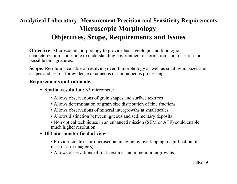### **Analytical Laboratory: Measurement Precision and Sensitivity Requirements Microscopic Morphology Objectives, Scope, Requirements and Issues**

**Objective:** Microscopic morphology to provide basic geologic and lithologic characterization, contribute to understanding environment of formation, and to search for possible biosignatures.

**Scope:** Resolution capable of resolving overall morphology as well as small grain sizes and shapes and search for evidence of aqueous or non-aqueous processing.

#### **Requirements and rationale:**

- **Spatial resolution:** <5 micrometer
	- Allows observations of grain shapes and surface textures
	- Allows determination of grain size distribution of fine fractions
	- Allows observations of mineral intergrowths at small scales
	- Allows distinction between igneous and sedimentary deposits
	- Non optical techniques in an enhanced mission (SEM or ATF) could enable much higher resolution.

#### • **100 micrometer field of view**

• Provides context for microscopic imaging by overlapping magnification of mast or arm imager(s)

• Allows observations of rock textures and mineral intergrowths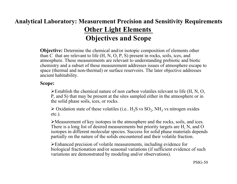### **Analytical Laboratory: Measurement Precision and Sensitivity Requirements Other Light Elements Objectives and Scope**

**Objective:** Determine the chemical and/or isotopic composition of elements other than C that are relevant to life (H, N, O, P, S) present in rocks, soils, ices, and atmosphere. These measurements are relevant to understanding prebiotic and biotic chemistry and a subset of these measurement addresses issues of atmosphere escape to space (thermal and non-thermal) or surface reservoirs. The later objective addresses ancient habitability.

#### **Scope:**

 $\blacktriangleright$  Establish the chemical nature of non carbon volatiles relevant to life (H, N, O, P, and S) that may be present at the sites sampled either in the atmosphere or in the solid phase soils, ices, or rocks.

 $\triangleright$  Oxidation state of these volatiles (i.e., H<sub>2</sub>S vs SO<sub>2</sub>, NH<sub>3</sub> vs nitrogen oxides etc.).

 $\triangleright$ Measurement of key isotopes in the atmosphere and the rocks, soils, and ices. There is a long list of desired measurements but priority targets are H, N, and O isotopes in different molecular species. Success for solid phase materials depends partially on the nature of the solids encountered and their volatile fraction.

ÿEnhanced precision of volatile measurements, including evidence for biological fractionation and/or seasonal variations (if sufficient evidence of such variations are demonstrated by modeling and/or observations).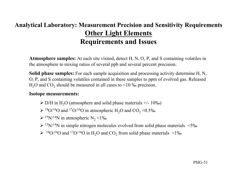### **Analytical Laboratory: Measurement Precision and Sensitivity Requirements Other Light Elements Requirements and Issues**

**Atmosphere samples:** At each site visited, detect H, N, O, P, and S containing volatiles in the atmosphere to mixing ratios of several ppb and several percent precision.

**Solid phase samples:** For each sample acquisition and processing activity determine H, N, O, P, and S containing volatiles contained in these samples to ppm of evolved gas. Released  $H<sub>2</sub>O$  and  $CO<sub>2</sub>$  should be measured in all cases to <10 ‰ precision.

#### **Isotope measurements:**

- $\triangleright$  D/H in H<sub>2</sub>O (atmosphere and solid phase materials +/- 10‰)
- $\geq$  18O/16O and 17O/16O in atmospheric H<sub>2</sub>O and CO<sub>2</sub> < 0.5%
- $\triangleright$  <sup>15</sup>N/<sup>14</sup>N in atmospheric N<sub>2</sub> <1‰
- $\triangleright$  <sup>15</sup>N/<sup>14</sup>N in simple nitrogen molecules evolved from solid phase materials <5‰
- $\blacktriangleright$  <sup>18</sup>O/<sup>16</sup>O and <sup>17</sup>O/<sup>16</sup>O in H<sub>2</sub>O and CO<sub>2</sub> from solid phase materials <1‰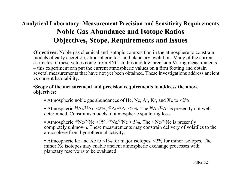### **Analytical Laboratory: Measurement Precision and Sensitivity Requirements Noble Gas Abundance and Isotope Ratios Objectives, Scope, Requirements and Issues**

**Objectives:** Noble gas chemical and isotopic composition in the atmosphere to constrain models of early accretion, atmospheric loss and planetary evolution. Many of the current estimates of these values come from SNC studies and low precision Viking measurements – this experiment can put the current atmospheric values on a firm footing and obtain several measurements that have not yet been obtained. These investigations address ancient vs current habitability.

#### •**Scope of the measurement and precision requirements to address the above objectives:**

- Atmospheric noble gas abundances of He, Ne, Ar, Kr, and Xe to  $\leq 2\%$
- Atmospheric  ${}^{36}Ar/{}^{38}Ar \leq 2\%$ ,  ${}^{40}Ar/{}^{36}Ar \leq 5\%$ . The  ${}^{36}Ar/{}^{38}Ar$  is presently not well determined. Constrains models of atmospheric sputtering loss.

• Atmospheric <sup>20</sup>Ne/<sup>22</sup>Ne <1%, <sup>21</sup>Ne/<sup>22</sup>Ne <5%. The <sup>21</sup>Ne/<sup>22</sup>Ne is presently completely unknown. These measurements may constrain delivery of volatiles to the atmosphere from hydrothermal activity.

• Atmospheric Kr and Xe to  $\leq 1\%$  for major isotopes,  $\leq 2\%$  for minor isotopes. The minor Xe isotopes may enable ancient atmospheric exchange processes with planetary reservoirs to be evaluated.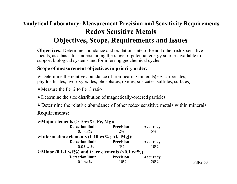### **Analytical Laboratory: Measurement Precision and Sensitivity Requirements Redox Sensitive Metals Objectives, Scope, Requirements and Issues**

**Objectives:** Determine abundance and oxidation state of Fe and other redox sensitive metals, as a basis for understanding the range of potential energy sources available to support biological systems and for inferring geochemical cycles

#### **Scope of measurement objectives in priority order:**

 $\triangleright$  Determine the relative abundance of iron-bearing minerals(e.g. carbonates, phyllosilicates, hydroxyoxides, phosphates, oxides, silsicates, sulfides, sulfates).

 $\blacktriangleright$ Measure the Fe+2 to Fe+3 ratio

 $\triangleright$  Determine the size distribution of magnetically-ordered particles

 $\triangleright$  Determine the relative abundance of other redox sensitive metals within minerals

#### **Requirements:**

| $\triangleright$ Major elements (> 10wt%, Fe, Mg):                     |                  |          |
|------------------------------------------------------------------------|------------------|----------|
| <b>Detection limit</b>                                                 | Precision        | Accuracy |
| $0.1 \text{ wt\%}$                                                     | $2\%$            | $5\%$    |
| $\triangleright$ Intermediate elements (1-10 wt%; Al, [Mg]):           |                  |          |
| <b>Detection limit</b>                                                 | Precision        | Accuracy |
| $0.05 \text{ wt\%}$                                                    | $5\%$            | 10%      |
| $\blacktriangleright$ Minor (0.1-1 wt%) and trace elements (<0.1 wt%): |                  |          |
| <b>Detection limit</b>                                                 | <b>Precision</b> | Accuracy |
| $0.1 \text{ wt}$ %                                                     | $10\%$           | 20%      |

PSIG-53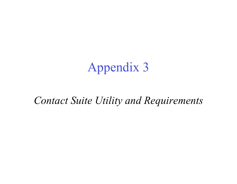# Appendix 3

## *Contact Suite Utility and Requirements*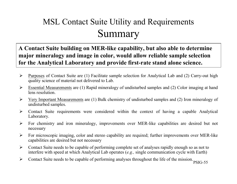## MSL Contact Suite Utility and Requirements Summary

**A Contact Suite building on MER-like capability, but also able to determine major mineralogy and image in color, would allow reliable sample selection for the Analytical Laboratory and provide first-rate stand alone science.**

- $\triangleright$  Purposes of Contact Suite are (1) Facilitate sample selection for Analytical Lab and (2) Carry-out high quality science of material not delivered to Lab.
- $\triangleright$  Essential Measurements are (1) Rapid mineralogy of undisturbed samples and (2) Color imaging at hand lens resolution.
- $\triangleright$  Very Important Measurements are (1) Bulk chemistry of undisturbed samples and (2) Iron mineralogy of undisturbed samples.
- $\triangleright$  Contact Suite requirements were considered within the context of having a capable Analytical Laboratory.
- $\triangleright$  For chemistry and iron mineralogy, improvements over MER-like capabilities are desired but not necessary
- $\triangleright$  For microscopic imaging, color and stereo capability are required; further improvements over MER-like capabilities are desired but not necessary
- $\triangleright$  Contact Suite needs to be capable of performing complete set of analyses rapidly enough so as not to interfere with speed at which Analytical Lab operates (*e.g.,* single communication cycle with Earth)
- $\triangleright$  Contact Suite needs to be capable of performing analyses throughout the life of the mission.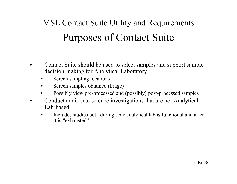# Purposes of Contact Suite MSL Contact Suite Utility and Requirements

- Contact Suite should be used to select samples and support sample decision-making for Analytical Laboratory
	- Screen sampling locations
	- Screen samples obtained (triage)
	- Possibly view pre-processed and (possibly) post-processed samples
- Conduct additional science investigations that are not Analytical Lab-based
	- Includes studies both during time analytical lab is functional and after it is "exhausted"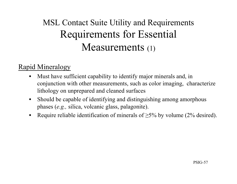## MSL Contact Suite Utility and Requirements Requirements for Essential Measurements (1)

### Rapid Mineralogy

- Must have sufficient capability to identify major minerals and, in conjunction with other measurements, such as color imaging, characterize lithology on unprepared and cleaned surfaces
- Should be capable of identifying and distinguishing among amorphous phases (*e.g.,* silica, volcanic glass, palagonite).
- Require reliable identification of minerals of  $\geq$ 5% by volume (2% desired).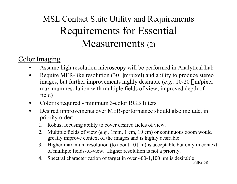## MSL Contact Suite Utility and Requirements Requirements for Essential Measurements (2)

### Color Imaging

- Assume high resolution microscopy will be performed in Analytical Lab
- Require MER-like resolution (30  $\mu$ m/pixel) and ability to produce stereo images, but further improvements highly desirable (*e.g.*, 10-20  $\mu$ m/pixel maximum resolution with multiple fields of view; improved depth of field)
- Color is required minimum 3-color RGB filters
- Desired improvements over MER-performance should also include, in priority order:
	- 1. Robust focusing ability to cover desired fields of view.
	- 2. Multiple fields of view (*e.g.,* 1mm, 1 cm, 10 cm) or continuous zoom would greatly improve context of the images and is highly desirable
	- 3. Higher maximum resolution (to about  $10 \mu m$ ) is acceptable but only in context of multiple fields-of-view. Higher resolution is not a priority.
	- 4. Spectral characterization of target in over 400-1,100 nm is desirable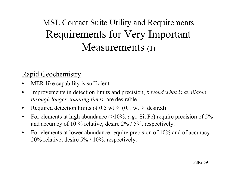## MSL Contact Suite Utility and Requirements Requirements for Very Important Measurements (1)

### Rapid Geochemistry

- MER-like capability is sufficient
- Improvements in detection limits and precision, *beyond what is available through longer counting times,* are desirable
- Required detection limits of 0.5 wt  $\%$  (0.1 wt  $\%$  desired)
- For elements at high abundance (>10%, *e.g.,* Si, Fe) require precision of 5% and accuracy of 10 % relative; desire 2% / 5%, respectively.
- For elements at lower abundance require precision of 10% and of accuracy 20% relative; desire 5% / 10%, respectively.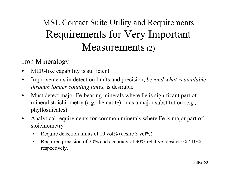## MSL Contact Suite Utility and Requirements Requirements for Very Important Measurements (2)

### Iron Mineralogy

- MER-like capability is sufficient
- Improvements in detection limits and precision, *beyond what is available through longer counting times,* is desirable
- Must detect major Fe-bearing minerals where Fe is significant part of mineral stoichiometry (*e.g.,* hematite) or as a major substitution (*e.g.,* phyllosilicates)
- Analytical requirements for common minerals where Fe is major part of stoichiometry
	- Require detection limits of 10 vol% (desire 3 vol%)
	- Required precision of 20% and accuracy of 30% relative; desire 5% / 10%, respectively.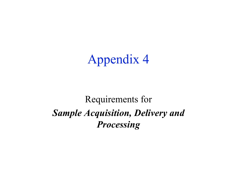# Appendix 4

## Requirements for *Sample Acquisition, Delivery and Processing*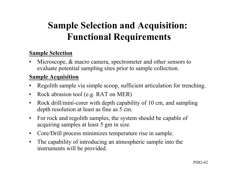## **Sample Selection and Acquisition: Functional Requirements**

#### **Sample Selection**

Microscope, & macro camera, spectrometer and other sensors to evaluate potential sampling sites prior to sample collection.

#### **Sample Acquisition**

- Regolith sample via simple scoop, sufficient articulation for trenching.
- Rock abrasion tool (e.g. RAT on MER)
- Rock drill/mini-corer with depth capability of 10 cm, and sampling depth resolution at least as fine as 5 cm.
- For rock and regolith samples, the system should be capable of acquiring samples at least 5 gm in size.
- Core/Drill process minimizes temperature rise in sample.
- The capability of introducing an atmospheric sample into the instruments will be provided.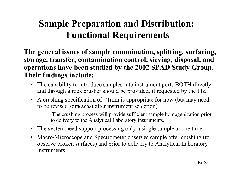## **Sample Preparation and Distribution: Functional Requirements**

**The general issues of sample comminution, splitting, surfacing, storage, transfer, contamination control, sieving, disposal, and operations have been studied by the 2002 SPAD Study Group. Their findings include:**

- The capability to introduce samples into instrument ports BOTH directly and through a rock crusher should be provided, if requested by the PIs.
- A crushing specification of  $\leq 1$ mm is appropriate for now (but may need to be revised somewhat after instrument selection)
	- The crushing process will provide sufficient sample homogenization prior to delivery to the Analytical Laboratory instruments.
- The system need support processing only a single sample at one time.
- Macro/Microscope and Spectrometer observes sample after crushing (to observe broken surfaces) and prior to delivery to Analytical Laboratory instruments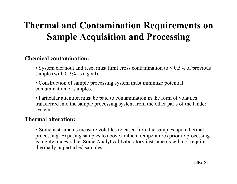## **Thermal and Contamination Requirements on Sample Acquisition and Processing**

#### **Chemical contamination:**

- System cleanout and reset must limit cross contamination to  $\leq 0.5\%$  of previous sample (with  $0.2\%$  as a goal).
- Construction of sample processing system must minimize potential contamination of samples.
- Particular attention must be paid to contamination in the form of volatiles transferred into the sample processing system from the other parts of the lander system.

#### **Thermal alteration:**

• Some instruments measure volatiles released from the samples upon thermal processing. Exposing samples to above ambient temperatures prior to processing is highly undesirable. Some Analytical Laboratory instruments will not require thermally unperturbed samples.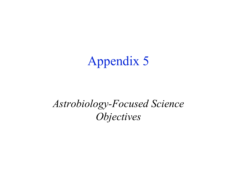# Appendix 5

## *Astrobiology-Focused Science Objectives*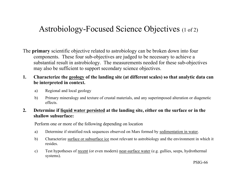### Astrobiology-Focused Science Objectives (1 of 2)

- The **primary** scientific objective related to astrobiology can be broken down into four components. These four sub-objectives are judged to be necessary to achieve a substantial result in astrobiology. The measurements needed for these sub-objectives may also be sufficient to support secondary science objectives.
- **1. Characterize the geology of the landing site (at different scales) so that analytic data can be interpreted in context.**
	- a) Regional and local geology
	- b) Primary mineralogy and texture of crustal materials, and any superimposed alteration or diagenetic effects.

#### **2. Determine if liquid water persisted at the landing site, either on the surface or in the shallow subsurface:**

Perform one or more of the following depending on location

- a) Determine if stratified rock sequences observed on Mars formed by sedimentation in water.
- b) Characterize surface or subsurface ice most relevant to astrobiology and the environment in which it resides.
- c) Test hypotheses of recent (or even modern) near-surface water (e.g. gullies, seeps, hydrothermal systems).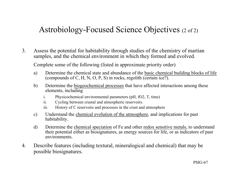### Astrobiology-Focused Science Objectives (2 of 2)

3. Assess the potential for habitability through studies of the chemistry of martian samples, and the chemical environment in which they formed and evolved.

Complete some of the following (listed in approximate priority order)

- a) Determine the chemical state and abundance of the basic chemical building blocks of life (compounds of C, H, N, O, P, S) in rocks, regolith (certain ice?).
- b) Determine the biogeochemical processes that have affected interactions among these elements, including
	- i. Physicochemical environmental parameters (pH, fO2, T, time)
	- ii. Cycling between crustal and atmospheric reservoirs.
	- iii. History of C reservoirs and processes in the crust and atmosphere
- c) Understand the chemical evolution of the atmosphere, and implications for past habitability.
- d) Determine the chemical speciation of Fe and other redox sensitive metals, to understand their potential either as biosignatures, as energy sources for life, or as indicators of past environments.
- 4. Describe features (including textural, mineralogical and chemical) that may be possible biosignatures.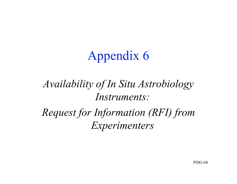# Appendix 6

## *Availability of In Situ Astrobiology Instruments:*

*Request for Information (RFI) from Experimenters*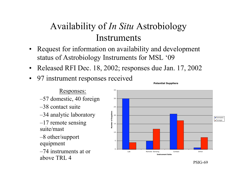## Availability of *In Situ* Astrobiology Instruments

- Request for information on availability and development status of Astrobiology Instruments for MSL '09
- Released RFI Dec. 18, 2002; responses due Jan. 17, 2002
- 97 instrument responses received

#### Responses:

–57 domestic, 40 foreign

- –38 contact suite
- –34 analytic laboratory

 $-17$  remote sensing suite/mast

–8 other/support equipment

–74 instruments at or above TRL 4



**Potential Suppliers**

PSIG-69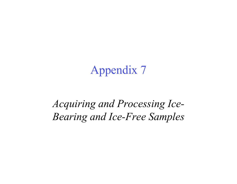# Appendix 7

## *Acquiring and Processing Ice-Bearing and Ice-Free Samples*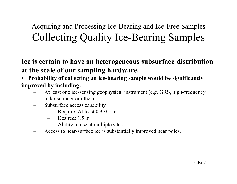## Acquiring and Processing Ice-Bearing and Ice-Free Samples Collecting Quality Ice-Bearing Samples

**Ice is certain to have an heterogeneous subsurface-distribution at the scale of our sampling hardware.**

- • **Probability of collecting an ice-bearing sample would be significantly improved by including:**
	- At least one ice-sensing geophysical instrument (e.g. GRS, high-frequency radar sounder or other)
	- Subsurface access capability
		- Require: At least 0.3-0.5 m
		- Desired: 1.5 m
		- Ability to use at multiple sites.
	- Access to near-surface ice is substantially improved near poles.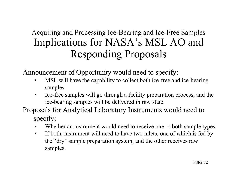### Acquiring and Processing Ice-Bearing and Ice-Free Samples Implications for NASA's MSL AO and Responding Proposals

Announcement of Opportunity would need to specify:

- MSL will have the capability to collect both ice-free and ice-bearing samples
- Ice-free samples will go through a facility preparation process, and the ice-bearing samples will be delivered in raw state.
- Proposals for Analytical Laboratory Instruments would need to specify:
	- Whether an instrument would need to receive one or both sample types.
	- If both, instrument will need to have two inlets, one of which is fed by the "dry" sample preparation system, and the other receives raw samples.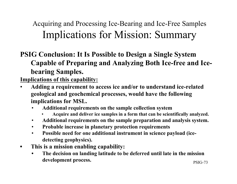Acquiring and Processing Ice-Bearing and Ice-Free Samples Implications for Mission: Summary

**PSIG Conclusion: It Is Possible to Design a Single System Capable of Preparing and Analyzing Both Ice-free and Icebearing Samples.**

**Implications of this capability:**

- **Adding a requirement to access ice and/or to understand ice-related geological and geochemical processes, would have the following implications for MSL.**
	- **Additional requirements on the sample collection system**
		- **Acquire and deliver ice samples in a form that can be scientifically analyzed.**
	- **Additional requirements on the sample preparation and analysis system.**
	- **Probable increase in planetary protection requirements**
	- **Possible need for one additional instrument in science payload (icedetecting geophysics).**
- **This is a mission enabling capability:**
	- **The decision on landing latitude to be deferred until late in the mission development process.**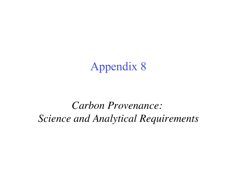## Appendix 8

*Carbon Provenance: Science and Analytical Requirements*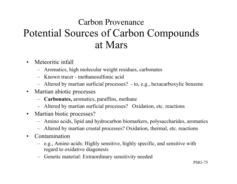## Carbon Provenance Potential Sources of Carbon Compounds at Mars

- Meteoritic infall
	- Aromatics, high molecular weight residues, carbonates
	- Known tracer methanesulfonic acid
	- Altered by martian surficial processes? to, e.g., hexacarboxylic benzene
- Martian abiotic processes
	- **Carbonates,** aromatics, paraffins, methane
	- Altered by martian surficial processes? Oxidation, etc. reactions
- Martian biotic processes?
	- Amino acids, lipid and hydrocarbon biomarkers, polysaccharides, aromatics
	- Altered by martian crustal processes? Oxidation, thermal, etc. reactions
- Contamination
	- e.g., Amino acids: Highly sensitive, highly specific, and sensitive with regard to oxidative diagenesis
	- Genetic material: Extraordinary sensitivity needed